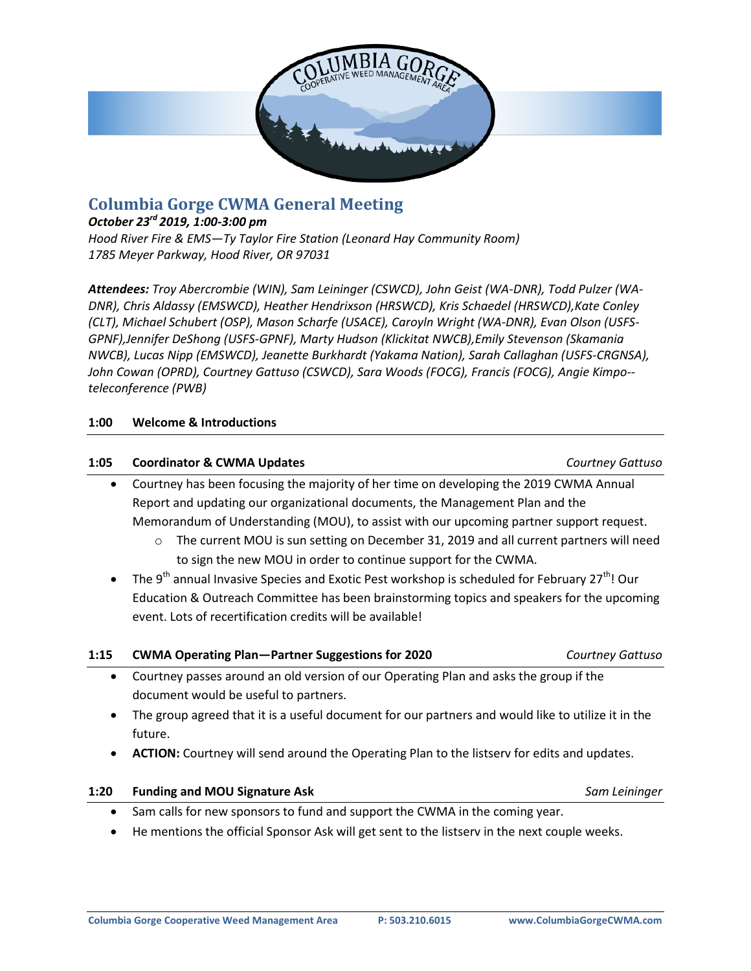

# **Columbia Gorge CWMA General Meeting**

### *October 23rd 2019, 1:00-3:00 pm*

*Hood River Fire & EMS—Ty Taylor Fire Station (Leonard Hay Community Room) 1785 Meyer Parkway, Hood River, OR 97031*

*Attendees: Troy Abercrombie (WIN), Sam Leininger (CSWCD), John Geist (WA-DNR), Todd Pulzer (WA-DNR), Chris Aldassy (EMSWCD), Heather Hendrixson (HRSWCD), Kris Schaedel (HRSWCD),Kate Conley (CLT), Michael Schubert (OSP), Mason Scharfe (USACE), Caroyln Wright (WA-DNR), Evan Olson (USFS-GPNF),Jennifer DeShong (USFS-GPNF), Marty Hudson (Klickitat NWCB),Emily Stevenson (Skamania NWCB), Lucas Nipp (EMSWCD), Jeanette Burkhardt (Yakama Nation), Sarah Callaghan (USFS-CRGNSA), John Cowan (OPRD), Courtney Gattuso (CSWCD), Sara Woods (FOCG), Francis (FOCG), Angie Kimpo- teleconference (PWB)*

#### **1:00 Welcome & Introductions**

#### **1:05 Coordinator & CWMA Updates** *Courtney Gattuso*

- Courtney has been focusing the majority of her time on developing the 2019 CWMA Annual Report and updating our organizational documents, the Management Plan and the Memorandum of Understanding (MOU), to assist with our upcoming partner support request.
	- $\circ$  The current MOU is sun setting on December 31, 2019 and all current partners will need to sign the new MOU in order to continue support for the CWMA.
- The 9<sup>th</sup> annual Invasive Species and Exotic Pest workshop is scheduled for February 27<sup>th</sup>! Our Education & Outreach Committee has been brainstorming topics and speakers for the upcoming event. Lots of recertification credits will be available!

| 1:15 | <b>CWMA Operating Plan-Partner Suggestions for 2020</b>                                            | <b>Courtney Gattuso</b> |
|------|----------------------------------------------------------------------------------------------------|-------------------------|
|      | • Courtney passes around an old version of our Operating Plan and asks the group if the            |                         |
|      | document would be useful to partners.                                                              |                         |
|      | The group agreed that it is a useful document for our partners and would like to utilize it in the |                         |
|      | future.                                                                                            |                         |

**ACTION:** Courtney will send around the Operating Plan to the listserv for edits and updates.

#### **1:20 Funding and MOU Signature Ask** *Sam Leininger*

- 
- Sam calls for new sponsors to fund and support the CWMA in the coming year.
- He mentions the official Sponsor Ask will get sent to the listserv in the next couple weeks.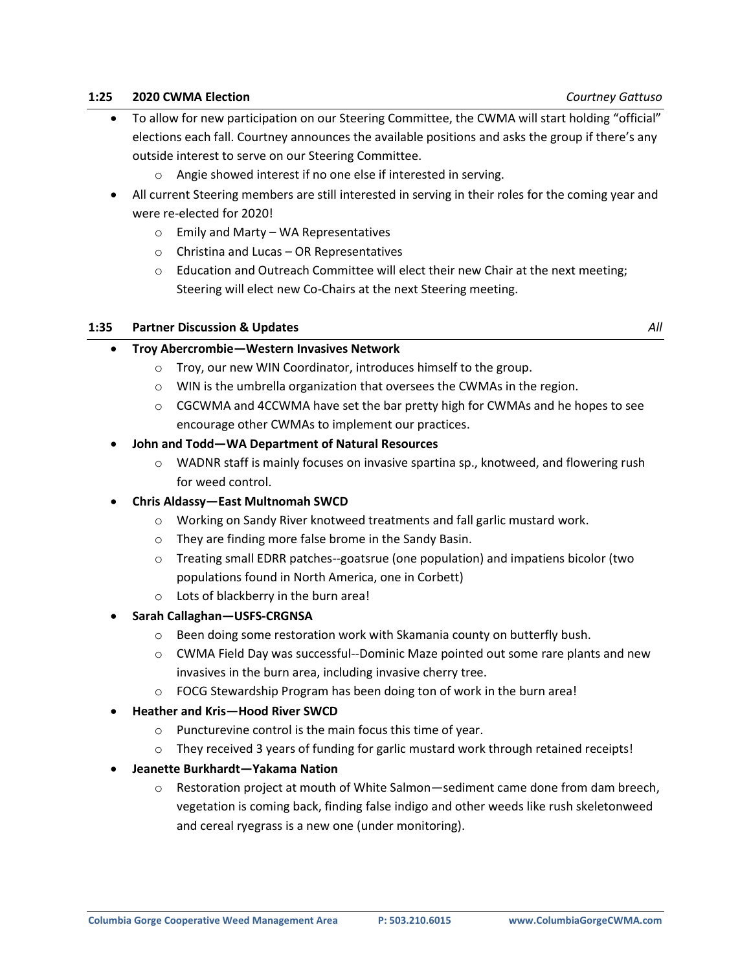#### **1:25 2020 CWMA Election** *Courtney Gattuso*

- To allow for new participation on our Steering Committee, the CWMA will start holding "official" elections each fall. Courtney announces the available positions and asks the group if there's any outside interest to serve on our Steering Committee.
	- o Angie showed interest if no one else if interested in serving.
- All current Steering members are still interested in serving in their roles for the coming year and were re-elected for 2020!
	- o Emily and Marty WA Representatives
	- o Christina and Lucas OR Representatives
	- $\circ$  Education and Outreach Committee will elect their new Chair at the next meeting; Steering will elect new Co-Chairs at the next Steering meeting.

#### **1:35 Partner Discussion & Updates** *All*

#### **Troy Abercrombie—Western Invasives Network**

- o Troy, our new WIN Coordinator, introduces himself to the group.
- o WIN is the umbrella organization that oversees the CWMAs in the region.
- $\circ$  CGCWMA and 4CCWMA have set the bar pretty high for CWMAs and he hopes to see encourage other CWMAs to implement our practices.

### **John and Todd—WA Department of Natural Resources**

- o WADNR staff is mainly focuses on invasive spartina sp., knotweed, and flowering rush for weed control.
- **Chris Aldassy—East Multnomah SWCD**
	- o Working on Sandy River knotweed treatments and fall garlic mustard work.
	- o They are finding more false brome in the Sandy Basin.
	- o Treating small EDRR patches--goatsrue (one population) and impatiens bicolor (two populations found in North America, one in Corbett)
	- o Lots of blackberry in the burn area!
- **Sarah Callaghan—USFS-CRGNSA**
	- $\circ$  Been doing some restoration work with Skamania county on butterfly bush.
	- o CWMA Field Day was successful--Dominic Maze pointed out some rare plants and new invasives in the burn area, including invasive cherry tree.
	- o FOCG Stewardship Program has been doing ton of work in the burn area!
- **Heather and Kris—Hood River SWCD**
	- o Puncturevine control is the main focus this time of year.
	- $\circ$  They received 3 years of funding for garlic mustard work through retained receipts!
- **Jeanette Burkhardt—Yakama Nation**
	- $\circ$  Restoration project at mouth of White Salmon—sediment came done from dam breech, vegetation is coming back, finding false indigo and other weeds like rush skeletonweed and cereal ryegrass is a new one (under monitoring).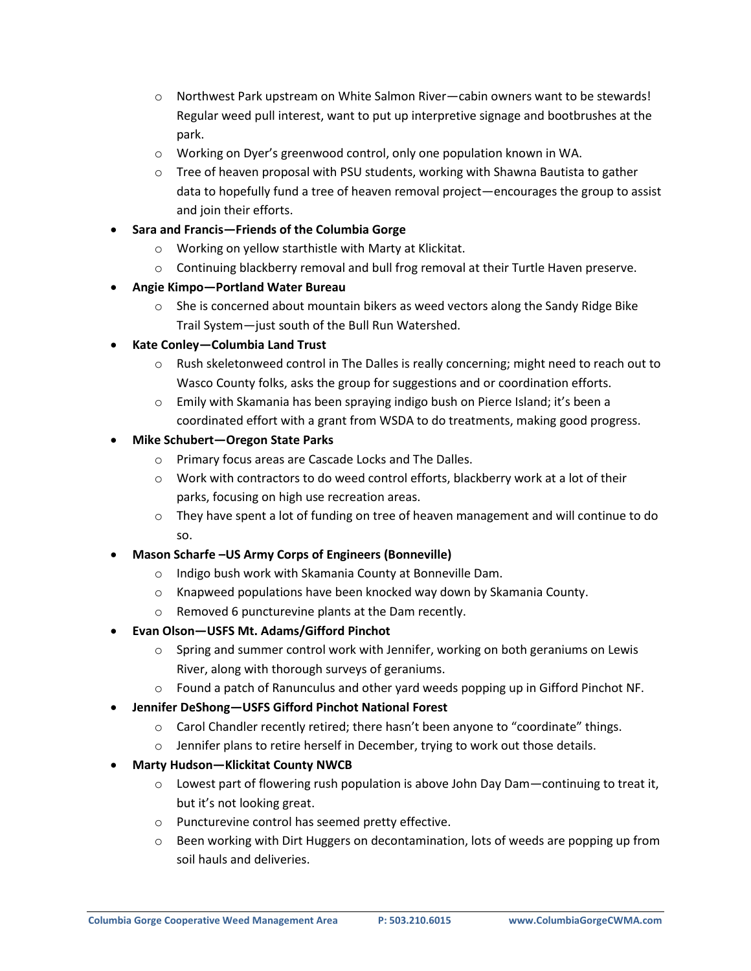- o Northwest Park upstream on White Salmon River—cabin owners want to be stewards! Regular weed pull interest, want to put up interpretive signage and bootbrushes at the park.
- o Working on Dyer's greenwood control, only one population known in WA.
- $\circ$  Tree of heaven proposal with PSU students, working with Shawna Bautista to gather data to hopefully fund a tree of heaven removal project—encourages the group to assist and join their efforts.
- **Sara and Francis—Friends of the Columbia Gorge**
	- o Working on yellow starthistle with Marty at Klickitat.
	- o Continuing blackberry removal and bull frog removal at their Turtle Haven preserve.
- **Angie Kimpo—Portland Water Bureau**
	- $\circ$  She is concerned about mountain bikers as weed vectors along the Sandy Ridge Bike Trail System—just south of the Bull Run Watershed.
- **Kate Conley—Columbia Land Trust**
	- o Rush skeletonweed control in The Dalles is really concerning; might need to reach out to Wasco County folks, asks the group for suggestions and or coordination efforts.
	- o Emily with Skamania has been spraying indigo bush on Pierce Island; it's been a coordinated effort with a grant from WSDA to do treatments, making good progress.
- **Mike Schubert—Oregon State Parks**
	- o Primary focus areas are Cascade Locks and The Dalles.
	- $\circ$  Work with contractors to do weed control efforts, blackberry work at a lot of their parks, focusing on high use recreation areas.
	- $\circ$  They have spent a lot of funding on tree of heaven management and will continue to do so.

### **Mason Scharfe –US Army Corps of Engineers (Bonneville)**

- o Indigo bush work with Skamania County at Bonneville Dam.
- o Knapweed populations have been knocked way down by Skamania County.
- o Removed 6 puncturevine plants at the Dam recently.
- **Evan Olson—USFS Mt. Adams/Gifford Pinchot**
	- $\circ$  Spring and summer control work with Jennifer, working on both geraniums on Lewis River, along with thorough surveys of geraniums.
	- o Found a patch of Ranunculus and other yard weeds popping up in Gifford Pinchot NF.
- **Jennifer DeShong—USFS Gifford Pinchot National Forest**
	- o Carol Chandler recently retired; there hasn't been anyone to "coordinate" things.
	- o Jennifer plans to retire herself in December, trying to work out those details.
- **Marty Hudson—Klickitat County NWCB**
	- $\circ$  Lowest part of flowering rush population is above John Day Dam—continuing to treat it, but it's not looking great.
	- o Puncturevine control has seemed pretty effective.
	- o Been working with Dirt Huggers on decontamination, lots of weeds are popping up from soil hauls and deliveries.